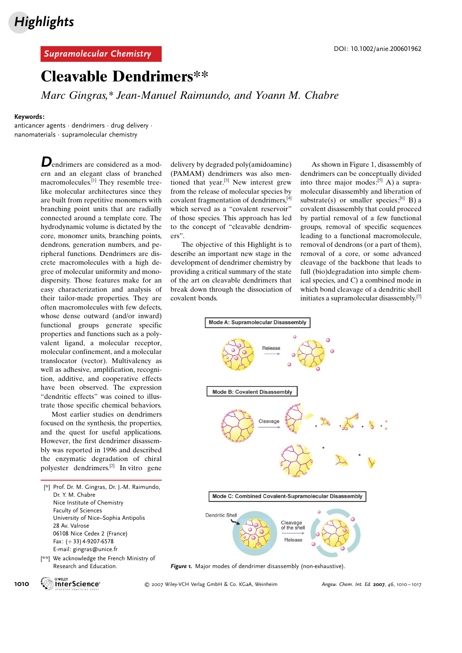#### Supramolecular Chemistry de Chemistry de Chemistry de Chemistry de Chemistry de Chemistry de Chemistry de Chemi<br>Contra de Chemistry de Chemistry de Chemistry de Chemistry de Chemistry de Chemistry de Chemistry de Chemistry

### Cleavable Dendrimers\*\*

Marc Gingras,\* Jean-Manuel Raimundo, and Yoann M. Chabre

#### Keywords:

anticancer agents · dendrimers · drug delivery · nanomaterials · supramolecular chemistry

> Dendrimers are considered as a modern and an elegant class of branched macromolecules.[1] They resemble treelike molecular architectures since they are built from repetitive monomers with branching point units that are radially connected around a template core. The hydrodynamic volume is dictated by the core, monomer units, branching points, dendrons, generation numbers, and peripheral functions. Dendrimers are discrete macromolecules with a high degree of molecular uniformity and monodispersity. Those features make for an easy characterization and analysis of their tailor-made properties. They are often macromolecules with few defects, whose dense outward (and/or inward) functional groups generate specific properties and functions such as a polyvalent ligand, a molecular receptor, molecular confinement, and a molecular translocator (vector). Multivalency as well as adhesive, amplification, recognition, additive, and cooperative effects have been observed. The expression "dendritic effects" was coined to illustrate those specific chemical behaviors.

> Most earlier studies on dendrimers focused on the synthesis, the properties, and the quest for useful applications. However, the first dendrimer disassembly was reported in 1996 and described the enzymatic degradation of chiral polyester dendrimers.[2] In vitro gene

[\*] Prof. Dr. M. Gingras, Dr. J.-M. Raimundo, Dr. Y. M. Chabre Nice Institute of Chemistry Faculty of Sciences University of Nice–Sophia Antipolis 28 Av. Valrose 06108 Nice Cedex 2 (France) Fax: (+33) 4-9207-6578 E-mail: gingras@unice.fr

[\*\*] We acknowledge the French Ministry of Research and Education.

delivery by degraded poly(amidoamine) (PAMAM) dendrimers was also mentioned that year.<sup>[3]</sup> New interest grew from the release of molecular species by covalent fragmentation of dendrimers,[4] which served as a "covalent reservoir" of those species. This approach has led to the concept of "cleavable dendrimers".

The objective of this Highlight is to describe an important new stage in the development of dendrimer chemistry by providing a critical summary of the state of the art on cleavable dendrimers that break down through the dissociation of covalent bonds.

As shown in Figure 1, disassembly of dendrimers can be conceptually divided into three major modes:<sup>[5]</sup> A) a supramolecular disassembly and liberation of substrate(s) or smaller species;<sup>[6]</sup> B) a covalent disassembly that could proceed by partial removal of a few functional groups, removal of specific sequences leading to a functional macromolecule, removal of dendrons (or a part of them), removal of a core, or some advanced cleavage of the backbone that leads to full (bio)degradation into simple chemical species, and C) a combined mode in which bond cleavage of a dendritic shell initiates a supramolecular disassembly.[7]



Figure 1. Major modes of dendrimer disassembly (non-exhaustive).

1010 **White-Science Community Community Community Community** Co. KGaA, Weinheim Angew. Chem. Int. Ed. 2007, 46, 1010–1017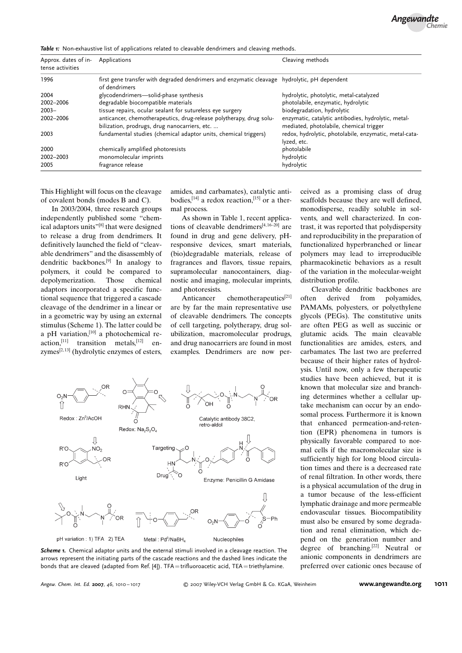ceived as a promising class of drug scaffolds because they are well defined, monodisperse, readily soluble in solvents, and well characterized. In contrast, it was reported that polydispersity and reproducibility in the preparation of functionalized hyperbranched or linear polymers may lead to irreproducible pharmacokinetic behaviors as a result of the variation in the molecular-weight

Cleavable dendritic backbones are often derived from polyamides, PAMAMs, polyesters, or polyethylene glycols (PEGs). The constitutive units are often PEG as well as succinic or glutamic acids. The main cleavable functionalities are amides, esters, and carbamates. The last two are preferred because of their higher rates of hydrolysis. Until now, only a few therapeutic studies have been achieved, but it is known that molecular size and branching determines whether a cellular uptake mechanism can occur by an endosomal process. Furthermore it is known that enhanced permeation-and-retention (EPR) phenomena in tumors is physically favorable compared to normal cells if the macromolecular size is sufficiently high for long blood circulation times and there is a decreased rate of renal filtration. In other words, there is a physical accumulation of the drug in a tumor because of the less-efficient lymphatic drainage and more permeable endovascular tissues. Biocompatibility must also be ensured by some degradation and renal elimination, which depend on the generation number and degree of branching.[22] Neutral or anionic components in dendrimers are preferred over cationic ones because of

distribution profile.

Table 1: Non-exhaustive list of applications related to cleavable dendrimers and cleaving methods.

| Approx. dates of in-<br>tense activities | Applications                                                                                                         | Cleaving methods                                                                               |
|------------------------------------------|----------------------------------------------------------------------------------------------------------------------|------------------------------------------------------------------------------------------------|
| 1996                                     | first gene transfer with degraded dendrimers and enzymatic cleavage hydrolytic, pH dependent<br>of dendrimers        |                                                                                                |
| 2004                                     | glycodendrimers-solid-phase synthesis                                                                                | hydrolytic, photolytic, metal-catalyzed                                                        |
| 2002-2006                                | degradable biocompatible materials                                                                                   | photolabile, enzymatic, hydrolytic                                                             |
| $2003 -$                                 | tissue repairs, ocular sealant for sutureless eye surgery                                                            | biodegradation, hydrolytic                                                                     |
| 2002-2006                                | anticancer, chemotherapeutics, drug-release polytherapy, drug solu-<br>bilization, prodrugs, drug nanocarriers, etc. | enzymatic, catalytic antibodies, hydrolytic, metal-<br>mediated, photolabile, chemical trigger |
| 2003                                     | fundamental studies (chemical adaptor units, chemical triggers)                                                      | redox, hydrolytic, photolabile, enzymatic, metal-cata-<br>lyzed, etc.                          |
| 2000                                     | chemically amplified photoresists                                                                                    | photolabile                                                                                    |
| 2002-2003                                | monomolecular imprints                                                                                               | hydrolytic                                                                                     |
| 2005                                     | fragrance release                                                                                                    | hydrolytic                                                                                     |

This Highlight will focus on the cleavage of covalent bonds (modes B and C).

In 2003/2004, three research groups independently published some "chemical adaptors units"<sup>[8]</sup> that were designed to release a drug from dendrimers. It definitively launched the field of "cleavable dendrimers" and the disassembly of dendritic backbones.[9] In analogy to polymers, it could be compared to depolymerization. Those chemical adaptors incorporated a specific functional sequence that triggered a cascade cleavage of the dendrimer in a linear or in a geometric way by using an external stimulus (Scheme 1). The latter could be a pH variation, $[10]$  a photochemical reaction,<sup>[11]</sup> transition metals,<sup>[12]</sup> enzymes $^{[2,13]}$  (hydrolytic enzymes of esters, amides, and carbamates), catalytic antibodies,  $[14]$  a redox reaction,  $[15]$  or a thermal process.

As shown in Table 1, recent applications of cleavable dendrimers $[4,16-20]$  are found in drug and gene delivery, pHresponsive devices, smart materials, (bio)degradable materials, release of fragrances and flavors, tissue repairs, supramolecular nanocontainers, diagnostic and imaging, molecular imprints, and photoresists.

Anticancer chemotherapeutics<sup>[21]</sup> are by far the main representative use of cleavable dendrimers. The concepts of cell targeting, polytherapy, drug solubilization, macromolecular prodrugs, and drug nanocarriers are found in most examples. Dendrimers are now per-



Scheme 1. Chemical adaptor units and the external stimuli involved in a cleavage reaction. The arrows represent the initiating parts of the cascade reactions and the dashed lines indicate the bonds that are cleaved (adapted from Ref. [4]). TFA=trifluoroacetic acid, TEA=triethylamine.

Angew. Chem. Int. Ed. <sup>2007</sup>, <sup>46</sup>, 1010 – 1017 2007 Wiley-VCH Verlag GmbH & Co. KGaA, Weinheim [www.angewandte.org](http://www.angewandte.org) 1011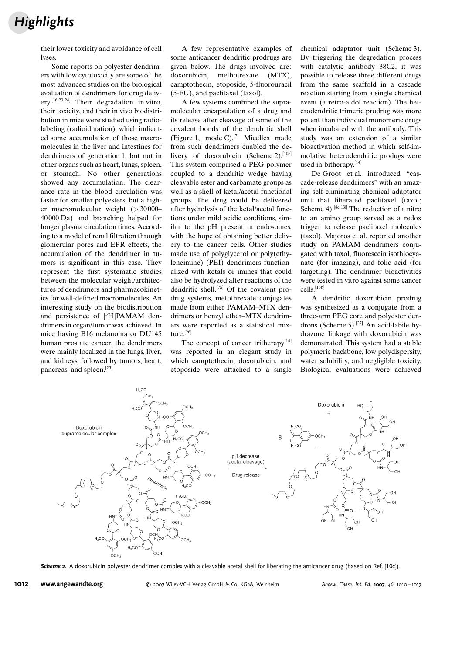# **Highlights**

their lower toxicity and avoidance of cell **lyses** 

Some reports on polyester dendrimers with low cytotoxicity are some of the most advanced studies on the biological evaluation of dendrimers for drug deliverv.<sup>[16, 23, 24]</sup> Their degradation in vitro, their toxicity, and their in vivo biodistribution in mice were studied using radiolabeling (radioidination), which indicated some accumulation of those macromolecules in the liver and intestines for dendrimers of generation 1, but not in other organs such as heart, lungs, spleen, or stomach. No other generations showed any accumulation. The clearance rate in the blood circulation was faster for smaller polyesters, but a higher macromolecular weight (> 30 000– 40 000 Da) and branching helped for longer plasma circulation times. According to a model of renal filtration through glomerular pores and EPR effects, the accumulation of the dendrimer in tumors is significant in this case. They represent the first systematic studies between the molecular weight/architectures of dendrimers and pharmacokinetics for well-defined macromolecules. An interesting study on the biodistribution and persistence of [3H]PAMAM dendrimers in organ/tumor was achieved. In mice having B16 melanoma or DU145 human prostate cancer, the dendrimers were mainly localized in the lungs, liver, and kidneys, followed by tumors, heart, pancreas, and spleen.[25]

A few representative examples of some anticancer dendritic prodrugs are given below. The drugs involved are: doxorubicin, methotrexate (MTX), camptothecin, etoposide, 5-fluorouracil (5-FU), and paclitaxel (taxol).

A few systems combined the supramolecular encapsulation of a drug and its release after cleavage of some of the covalent bonds of the dendritic shell (Figure 1, mode C).<sup>[7]</sup> Micelles made from such dendrimers enabled the delivery of doxorubicin (Scheme 2).<sup>[10c]</sup> This system comprised a PEG polymer coupled to a dendritic wedge having cleavable ester and carbamate groups as well as a shell of ketal/acetal functional groups. The drug could be delivered after hydrolysis of the ketal/acetal functions under mild acidic conditions, similar to the pH present in endosomes, with the hope of obtaining better delivery to the cancer cells. Other studies made use of polyglycerol or poly(ethyleneimine) (PEI) dendrimers functionalized with ketals or imines that could also be hydrolyzed after reactions of the dendritic shell.[7a] Of the covalent prodrug systems, metothrexate conjugates made from either PAMAM–MTX dendrimers or benzyl ether–MTX dendrimers were reported as a statistical mixture.<sup>[26]</sup>

The concept of cancer tritherapy<sup>[14]</sup> was reported in an elegant study in which camptothecin, doxorubicin, and etoposide were attached to a single chemical adaptator unit (Scheme 3). By triggering the degredation process with catalytic antibody 38C2, it was possible to release three different drugs from the same scaffold in a cascade reaction starting from a single chemical event (a retro-aldol reaction). The heterodendritic trimeric prodrug was more potent than individual monomeric drugs when incubated with the antibody. This study was an extension of a similar bioactivation method in which self-immolative heterodendritic produgs were used in bitherapy.[14]

De Groot et al. introduced "cascade-release dendrimers" with an amazing self-eliminating chemical adaptator unit that liberated paclitaxel (taxol; Scheme 4).<sup>[8c, 13i]</sup> The reduction of a nitro to an amino group served as a redox trigger to release paclitaxel molecules (taxol). Majoros et al. reported another study on PAMAM dendrimers conjugated with taxol, fluorescein isothiocyanate (for imaging), and folic acid (for targeting). The dendrimer bioactivities were tested in vitro against some cancer cells.[13b]

A dendritic doxorubicin prodrug was synthesized as a conjugate from a three-arm PEG core and polyester dendrons (Scheme 5).[27] An acid-labile hydrazone linkage with doxorubicin was demonstrated. This system had a stable polymeric backbone, low polydispersity, water solubility, and negligible toxicity. Biological evaluations were achieved



Scheme 2. A doxorubicin polvester dendrimer complex with a cleavable acetal shell for liberating the anticancer drug (based on Ref. [10c]).

1012 [www.angewandte.org](http://www.angewandte.org) 2007 Wiley-VCH Verlag GmbH & Co. KGaA, Weinheim Angew. Chem. Int. Ed. <sup>2007</sup>, <sup>46</sup>, 1010 – 1017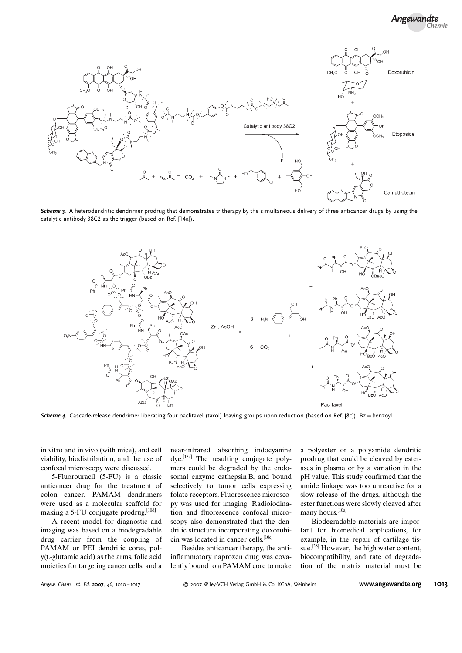

Scheme 3. A heterodendritic dendrimer prodrug that demonstrates tritherapy by the simultaneous delivery of three anticancer drugs by using the catalytic antibody 38C2 as the trigger (based on Ref. [14a]).



Scheme 4. Cascade-release dendrimer liberating four paclitaxel (taxol) leaving groups upon reduction (based on Ref. [8c]). Bz = benzoyl.

in vitro and in vivo (with mice), and cell viability, biodistribution, and the use of confocal microscopy were discussed.

5-Fluorouracil (5-FU) is a classic anticancer drug for the treatment of colon cancer. PAMAM dendrimers were used as a molecular scaffold for making a 5-FU conjugate prodrug.<sup>[10d]</sup>

A recent model for diagnostic and imaging was based on a biodegradable drug carrier from the coupling of PAMAM or PEI dendritic cores, poly(l-glutamic acid) as the arms, folic acid moieties for targeting cancer cells, and a near-infrared absorbing indocyanine dye.[13c] The resulting conjugate polymers could be degraded by the endosomal enzyme cathepsin B, and bound selectively to tumor cells expressing folate receptors. Fluorescence microscopy was used for imaging. Radioiodination and fluorescence confocal microscopy also demonstrated that the dendritic structure incorporating doxorubicin was located in cancer cells.<sup>[10c]</sup>

Besides anticancer therapy, the antiinflammatory naproxen drug was covalently bound to a PAMAM core to make a polyester or a polyamide dendritic prodrug that could be cleaved by esterases in plasma or by a variation in the pH value. This study confirmed that the amide linkage was too unreactive for a slow release of the drugs, although the ester functions were slowly cleaved after many hours.<sup>[10a]</sup>

Biodegradable materials are important for biomedical applications, for example, in the repair of cartilage tissue.<sup>[28]</sup> However, the high water content, biocompatibility, and rate of degradation of the matrix material must be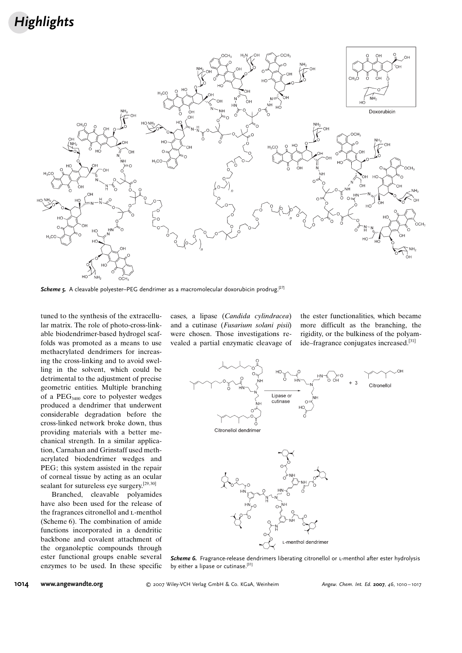## **Highlights**



**Scheme 5.** A cleavable polyester–PEG dendrimer as a macromolecular doxorubicin prodrug.<sup>[27]</sup>

tuned to the synthesis of the extracellular matrix. The role of photo-cross-linkable biodendrimer-based hydrogel scaffolds was promoted as a means to use methacrylated dendrimers for increasing the cross-linking and to avoid swelling in the solvent, which could be detrimental to the adjustment of precise geometric entities. Multiple branching of a  $PEG<sub>3400</sub>$  core to polyester wedges produced a dendrimer that underwent considerable degradation before the cross-linked network broke down, thus providing materials with a better mechanical strength. In a similar application, Carnahan and Grinstaff used methacrylated biodendrimer wedges and PEG; this system assisted in the repair of corneal tissue by acting as an ocular sealant for sutureless eye surgery.<sup>[29, 30]</sup>

Branched, cleavable polyamides have also been used for the release of the fragrances citronellol and L-menthol (Scheme 6). The combination of amide functions incorporated in a dendritic backbone and covalent attachment of the organoleptic compounds through ester functional groups enable several enzymes to be used. In these specific cases, a lipase (Candida cylindracea) and a cutinase (Fusarium solani pisii) were chosen. Those investigations revealed a partial enzymatic cleavage of the ester functionalities, which became more difficult as the branching, the rigidity, or the bulkiness of the polyamide–fragrance conjugates increased.[31]



Scheme 6. Fragrance-release dendrimers liberating citronellol or L-menthol after ester hydrolysis by either a lipase or cutinase.<sup>[31]</sup>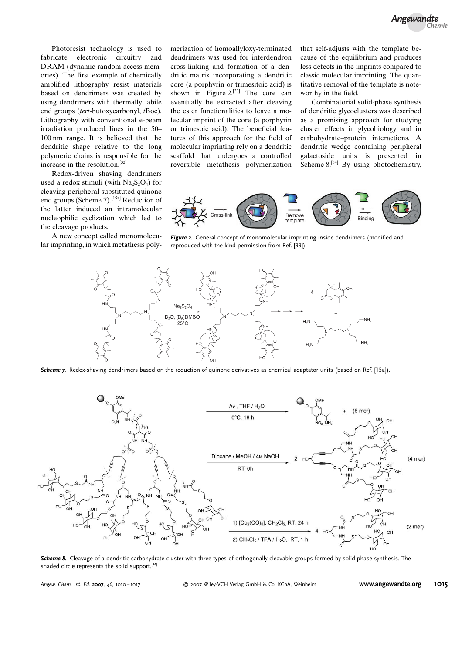Photoresist technology is used to fabricate electronic circuitry and DRAM (dynamic random access memories). The first example of chemically amplified lithography resist materials based on dendrimers was created by using dendrimers with thermally labile end groups (tert-butoxycarbonyl, tBoc). Lithography with conventional e-beam irradiation produced lines in the 50– 100 nm range. It is believed that the dendritic shape relative to the long polymeric chains is responsible for the increase in the resolution.[32]

Redox-driven shaving dendrimers used a redox stimuli (with  $Na<sub>2</sub>S<sub>2</sub>O<sub>4</sub>$ ) for cleaving peripheral substituted quinone end groups (Scheme 7).<sup>[15a]</sup> Reduction of the latter induced an intramolecular nucleophilic cyclization which led to the cleavage products.

A new concept called monomolecular imprinting, in which metathesis polymerization of homoallyloxy-terminated dendrimers was used for interdendron cross-linking and formation of a dendritic matrix incorporating a dendritic core (a porphyrin or trimesitoic acid) is shown in Figure 2.<sup>[33]</sup> The core can eventually be extracted after cleaving the ester functionalities to leave a molecular imprint of the core (a porphyrin or trimesoic acid). The beneficial features of this approach for the field of molecular imprinting rely on a dendritic scaffold that undergoes a controlled reversible metathesis polymerization that self-adjusts with the template because of the equilibrium and produces less defects in the imprints compared to classic molecular imprinting. The quantitative removal of the template is noteworthy in the field.

Combinatorial solid-phase synthesis of dendritic glycoclusters was described as a promising approach for studying cluster effects in glycobiology and in carbohydrate–protein interactions. A dendritic wedge containing peripheral galactoside units is presented in Scheme 8.<sup>[34]</sup> By using photochemistry,



Figure 2. General concept of monomolecular imprinting inside dendrimers (modified and reproduced with the kind permission from Ref. [33]).



Scheme 7. Redox-shaving dendrimers based on the reduction of quinone derivatives as chemical adaptator units (based on Ref. [15a]).



Scheme 8. Cleavage of a dendritic carbohydrate cluster with three types of orthogonally cleavable groups formed by solid-phase synthesis. The shaded circle represents the solid support.<sup>[34]</sup>

Angew. Chem. Int. Ed. <sup>2007</sup>, <sup>46</sup>, 1010 – 1017 2007 Wiley-VCH Verlag GmbH & Co. KGaA, Weinheim [www.angewandte.org](http://www.angewandte.org) 1015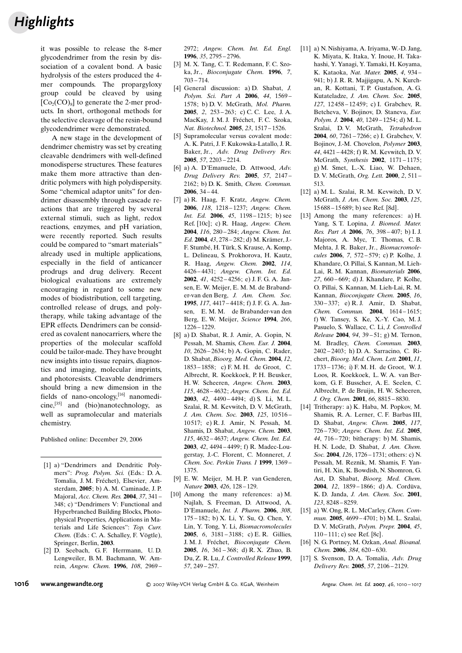## **Highlights**

it was possible to release the 8-mer glycodendrimer from the resin by dissociation of a covalent bond. A basic hydrolysis of the esters produced the 4 mer compounds. The propargyloxy group could be cleaved by using  $[C<sub>0</sub>(CO)<sub>8</sub>]$  to generate the 2-mer products. In short, orthogonal methods for the selective cleavage of the resin-bound glycodendrimer were demonstrated.

A new stage in the development of dendrimer chemistry was set by creating cleavable dendrimers with well-defined monodisperse structures. These features make them more attractive than dendritic polymers with high polydispersity. Some "chemical adaptor units" for dendrimer disassembly through cascade reactions that are triggered by several external stimuli, such as light, redox reactions, enzymes, and pH variation, were recently reported. Such results could be compared to "smart materials" already used in multiple applications, especially in the field of anticancer prodrugs and drug delivery. Recent biological evaluations are extremely encouraging in regard to some new modes of biodistribution, cell targeting, controlled release of drugs, and polytherapy, while taking advantage of the EPR effects. Dendrimers can be considered as covalent nanocarriers, where the properties of the molecular scaffold could be tailor-made. They have brought new insights into tissue repairs, diagnostics and imaging, molecular imprints, and photoresists. Cleavable dendrimers should bring a new dimension in the fields of nano-oncology, $[16]$  nanomedi $cine,$ <sup>[35]</sup> and (bio)nanotechnology, as well as supramolecular and materials chemistry.

Published online: December 29, 2006

- [1] a) "Dendrimers and Dendritic Polymers": Prog. Polym. Sci. (Eds.: D. A. Tomalia, J. M. Fréchet), Elsevier, Amsterdam, 2005; b) A. M. Caminade, J. P. Majoral, Acc. Chem. Res. 2004, 37, 341 – 348; c) "Dendrimers V: Functional and Hyperbranched Building Blocks, Photophysical Properties, Applications in Materials and Life Sciences": Top. Curr. Chem. (Eds.: C. A. Schalley, F. Vögtle), Springer, Berlin, 2003.
- [2] D. Seebach, G. F. Herrmann, U. D. Lengweiler, B. M. Bachmann, W. Amrein, Angew. Chem. 1996, 108, 2969 –

2972; Angew. Chem. Int. Ed. Engl. 1996, 35, 2795 – 2796.

- [3] M. X. Tang, C. T. Redemann, F. C. Szoka, Jr., Bioconjugate Chem. 1996, 7, 703 – 714.
- [4] General discussion: a) D. Shabat, J. Polym. Sci. Part A 2006, 44, 1569 – 1578; b) D. V. McGrath, Mol. Pharm. 2005, 2, 253 – 263; c) C. C. Lee, J. A. MacKay, J. M. J. Fréchet, F. C. Szoka, Nat. Biotechnol. 2005, 23, 1517 – 1526.
- [5] Supramolecular versus covalent mode: A. K. Patri, J. F. Kukowska-Latallo, J. R. Baker, Jr., Adv. Drug Delivery Rev. 2005, 57, 2203 – 2214.
- [6] a) A. D'Emanuele, D. Attwood,  $Adv$ . Drug Delivery Rev. 2005, 57, 2147 – 2162; b) D. K. Smith, Chem. Commun. 2006, 34 – 44.
- [7] a) R. Haag, F. Kratz, Angew. Chem. 2006, 118, 1218-1237; Angew. Chem. *Int. Ed.* **2006**,  $45$ ,  $1198 - 1215$ ; b) see Ref. [10c]; c) R. Haag, Angew. Chem. 2004, 116, 280 – 284; Angew. Chem. Int. Ed. 2004, 43, 278 - 282; d) M. Krämer, J.-F. Stumbé, H. Türk, S. Krause, A. Komp, L. Delineau, S. Prokhorova, H. Kautz, R. Haag, Angew. Chem. 2002, 114, 4426 – 4431; Angew. Chem. Int. Ed. 2002, 41, 4252 – 4256; e) J. F. G. A. Jansen, E. W. Meijer, E. M. M. de Brabander-van den Berg, J. Am. Chem. Soc. 1995, 117, 4417 – 4418; f) J. F. G. A. Jansen, E. M. M. de Brabander-van den Berg, E. W. Meijer, Science 1994, 266, 1226 – 1229.
- [8] a) D. Shabat, R. J. Amir, A. Gopin, N. Pessah, M. Shamis, Chem. Eur. J. 2004, 10, 2626 – 2634; b) A. Gopin, C. Rader, D. Shabat, Bioorg. Med. Chem. 2004, 12, 1853 – 1858; c) F. M. H. de Groot, C. Albrecht, R. Koekkoek, P. H. Beusker, H. W. Scheeren, Angew. Chem. 2003, 115, 4628 – 4632; Angew. Chem. Int. Ed. 2003, 42, 4490 – 4494; d) S. Li, M. L. Szalai, R. M. Kevwitch, D. V. McGrath, J. Am. Chem. Soc. 2003, 125, 10516-10 517; e) R. J. Amir, N. Pessah, M. Shamis, D. Shabat, Angew. Chem. 2003, 115, 4632 – 4637; Angew. Chem. Int. Ed. 2003, 42, 4494 – 4499; f) R. Madec-Lougerstay, J.-C. Florent, C. Monneret, J. Chem. Soc. Perkin Trans. 1 1999, 1369 – 1375.
- [9] E. W. Meijer, M. H. P. van Genderen, Nature 2003, 426, 128-129.
- [10] Among the many references: a) M. Najlah, S. Freeman, D. Attwood, A. D'Emanuele, Int. J. Pharm. 2006, 308, 175 – 182; b) X. Li, Y. Su, Q. Chen, Y. Lin, Y. Tong, Y. Li, Biomacromolecules 2005, 6, 3181 – 3188; c) E. R. Gillies, J. M. J. Fréchet. Bioconjugate Chem. 2005, 16, 361 – 368; d) R. X. Zhuo, B. Du, Z. R. Lu, J. Controlled Release 1999, 57, 249 – 257.
- [11] a) N. Nishiyama, A. Iriyama, W.-D. Jang, K. Miyata, K. Itaka, Y. Inoue, H. Takahashi, Y. Yanagi, Y. Tamaki, H. Koyama, K. Kataoka, Nat. Mater. 2005, 4, 934 – 941; b) J. R. R. Majjigapu, A. N. Kurchan, R. Kottani, T. P. Gustafson, A. G. Kutateladze, J. Am. Chem. Soc. 2005, 127, 12 458 – 12 459; c) I. Grabchev, R. Betcheva, V. Bojinov, D. Staneva, Eur. Polym. J. 2004, 40, 1249 – 1254; d) M. L. Szalai, D.V. McGrath, Tetrahedron 2004, 60, 7261 – 7266; e) I. Grabchev, V. Bojinov, J.-M. Chovelon, Polymer 2003, 44, 4421 – 4428; f) R. M. Kevwitch, D. V. McGrath, Synthesis 2002, 1171 – 1175; g) M. Smet, L.-X. Liao, W. Dehaen, D. V. McGrath, Org. Lett. 2000, 2, 511 – 513.
- [12] a) M. L. Szalai, R. M. Kevwitch, D. V. McGrath, J. Am. Chem. Soc. 2003, 125, 15 688 – 15 689; b) see Ref. [8d].
- [13] Among the many references: a) H. Yang, S. T. Lopina, J. Biomed. Mater. Res. Part A 2006, 76, 398-407; b) I. J. Majoros, A. Myc, T. Thomas, C. B. Mehta, J. R. Baker, Jr., Biomacromolecules 2006, 7, 572 – 579; c) P. Kolhe, J. Khandare, O. Pillai, S. Kannan, M. Lieh-Lai, R. M. Kannan, Biomaterials 2006, 27, 660 – 669; d) J. Khandare, P. Kolhe, O. Pillai, S. Kannan, M. Lieh-Lai, R. M. Kannan, Bioconjugate Chem. 2005, 16, 330 – 337; e) R. J. Amir, D. Shabat, Chem. Commun. 2004, 1614 – 1615; f) W. Tansey, S. Ke, X.-Y. Cao, M. J. Pasuelo, S. Wallace, C. Li, J. Controlled Release 2004, 94, 39 – 51; g) M. Ternon, M. Bradley, Chem. Commun. 2003, 2402 – 2403; h) D. A. Sarracino, C. Richert, Bioorg. Med. Chem. Lett. 2001, 11, 1733 – 1736; i) F. M. H. de Groot, W. J. Loos, R. Koekkoek, L. W. A. van Berkom, G. F. Busscher, A. E. Seelen, C. Albrecht, P. de Bruijn, H. W. Scheeren, J. Org. Chem. 2001, 66, 8815 – 8830.
- [14] Tritherapy: a) K. Haba, M. Popkov, M. Shamis, R. A. Lerner, C. F. Barbas III, D. Shabat, Angew. Chem. 2005, 117, 726 – 730; Angew. Chem. Int. Ed. 2005, 44, 716 – 720; bitherapy: b) M. Shamis, H. N. Lode, D. Shabat, J. Am. Chem. Soc. 2004, 126, 1726-1731; others: c) N. Pessah, M. Reznik, M. Shamis, F. Yantiri, H. Xin, K. Bowdish, N. Shomron, G. Ast, D. Shabat, Bioorg. Med. Chem. 2004,  $12$ ,  $1859 - 1866$ ; d) A. Cordüva, K. D. Janda, J. Am. Chem. Soc. 2001, 123, 8248 – 8259.
- [15] a) W. Ong, R. L. McCarley, Chem. Commun. 2005, 4699-4701; b) M. L. Szalai, D. V. McGrath, Polym. Prepr. 2004, 45, 110 – 111; c) see Ref. [8c].
- [16] N. G. Portney, M. Ozkan, Anal. Bioanal. Chem. 2006, 384, 620-630.
- [17] S. Svenson, D. A. Tomalia, Adv. Drug Delivery Rev. 2005, 57, 2106 – 2129.

1016 [www.angewandte.org](http://www.angewandte.org) **COMBANG ANGLIAN CONTREGITS Angew. Chem. Int. Ed. 2007, 46, 1010**-1017